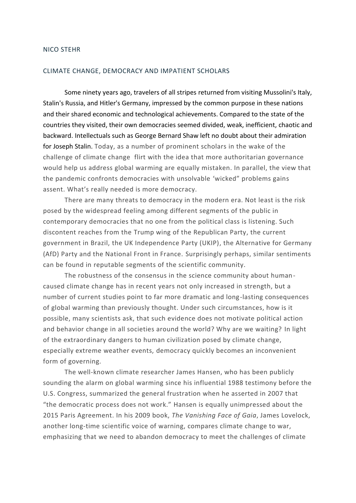## NICO STEHR

## CLIMATE CHANGE, DEMOCRACY AND IMPATIENT SCHOLARS

Some ninety years ago, travelers of all stripes returned from visiting Mussolini's Italy, Stalin's Russia, and Hitler's Germany, impressed by the common purpose in these nations and their shared economic and technological achievements. Compared to the state of the countries they visited, their own democracies seemed divided, weak, inefficient, chaotic and backward. Intellectuals such as George Bernard Shaw left no doubt about their admiration for Joseph Stalin. Today, as a number of prominent scholars in the wake of the challenge of climate change flirt with the idea that more authoritarian governance would help us address global warming are equally mistaken. In parallel, the view that the pandemic confronts democracies with unsolvable 'wicked" problems gains assent. What's really needed is more democracy.

There are many threats to democracy in the modern era. Not least is the risk posed by the widespread feeling among different segments of the public in contemporary democracies that no one from the political class is listening. Such discontent reaches from the Trump wing of the Republican Party, the current government in Brazil, the UK Independence Party (UKIP), the Alternative for Germany (AfD) Party and the National Front in France. Surprisingly perhaps, similar sentiments can be found in reputable segments of the scientific community.

The robustness of the consensus in the science community about humancaused climate change has in recent years not only increased in strength, but a number of current studies point to far more dramatic and long-lasting consequences of global warming than previously thought. Under such circumstances, how is it possible, many scientists ask, that such evidence does not motivate political action and behavior change in all societies around the world? Why are we waiting? In light of the extraordinary dangers to human civilization posed by climate change, especially extreme weather events, democracy quickly becomes an inconvenient form of governing.

The well-known climate researcher James Hansen, who has been publicly sounding the alarm on global warming since his influential 1988 testimony before the U.S. Congress, summarized the general frustration when he asserted in 2007 that "the democratic process does not work." Hansen is equally unimpressed about the 2015 Paris Agreement. In his 2009 book, *The Vanishing Face of Gaia*, James Lovelock, another long-time scientific voice of warning, compares climate change to war, emphasizing that we need to abandon democracy to meet the challenges of climate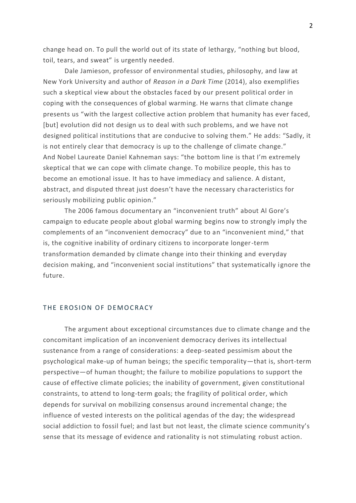change head on. To pull the world out of its state of lethargy, "nothing but blood, toil, tears, and sweat" is urgently needed.

Dale Jamieson, professor of environmental studies, philosophy, and law at New York University and author of *Reason in a Dark Time* (2014), also exemplifies such a skeptical view about the obstacles faced by our present political order in coping with the consequences of global warming. He warns that climate change presents us "with the largest collective action problem that humanity has ever faced, [but] evolution did not design us to deal with such problems, and we have not designed political institutions that are conducive to solving them." He adds: "Sadly, it is not entirely clear that democracy is up to the challenge of climate change." And Nobel Laureate Daniel Kahneman says: "the bottom line is that I'm extremely skeptical that we can cope with climate change. To mobilize people, this has to become an emotional issue. It has to have immediacy and salience. A distant, abstract, and disputed threat just doesn't have the necessary characteristics for seriously mobilizing public opinion."

The 2006 famous documentary an "inconvenient truth" about Al Gore's campaign to educate people about global warming begins now to strongly imply the complements of an "inconvenient democracy" due to an "inconvenient mind," that is, the cognitive inability of ordinary citizens to incorporate longer-term transformation demanded by climate change into their thinking and everyday decision making, and "inconvenient social institutions" that systematically ignore the future.

## THE EROSION OF DEMOCRACY

The argument about exceptional circumstances due to climate change and the concomitant implication of an inconvenient democracy derives its intellectual sustenance from a range of considerations: a deep-seated pessimism about the psychological make-up of human beings; the specific temporality—that is, short-term perspective—of human thought; the failure to mobilize populations to support the cause of effective climate policies; the inability of government, given constitutional constraints, to attend to long-term goals; the fragility of political order, which depends for survival on mobilizing consensus around incremental change; the influence of vested interests on the political agendas of the day; the widespread social addiction to fossil fuel; and last but not least, the climate science community's sense that its message of evidence and rationality is not stimulating robust action.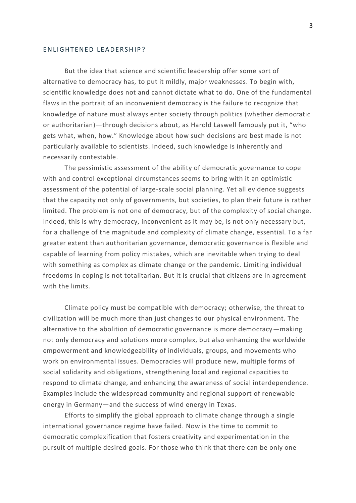## EN LIGHTENED LEADERSHIP?

But the idea that science and scientific leadership offer some sort of alternative to democracy has, to put it mildly, major weaknesses. To begin with, scientific knowledge does not and cannot dictate what to do. One of the fundamental flaws in the portrait of an inconvenient democracy is the failure to recognize that knowledge of nature must always enter society through politics (whether democratic or authoritarian)—through decisions about, as Harold Laswell famously put it, "who gets what, when, how." Knowledge about how such decisions are best made is not particularly available to scientists. Indeed, such knowledge is inherently and necessarily contestable.

The pessimistic assessment of the ability of democratic governance to cope with and control exceptional circumstances seems to bring with it an optimistic assessment of the potential of large-scale social planning. Yet all evidence suggests that the capacity not only of governments, but societies, to plan their future is rather limited. The problem is not one of democracy, but of the complexity of social change. Indeed, this is why democracy, inconvenient as it may be, is not only necessary but, for a challenge of the magnitude and complexity of climate change, essential. To a far greater extent than authoritarian governance, democratic governance is flexible and capable of learning from policy mistakes, which are inevitable when trying to deal with something as complex as climate change or the pandemic. Limiting individual freedoms in coping is not totalitarian. But it is crucial that citizens are in agreement with the limits.

Climate policy must be compatible with democracy; otherwise, the threat to civilization will be much more than just changes to our physical environment. The alternative to the abolition of democratic governance is more democracy—making not only democracy and solutions more complex, but also enhancing the worldwide empowerment and knowledgeability of individuals, groups, and movements who work on environmental issues. Democracies will produce new, multiple forms of social solidarity and obligations, strengthening local and regional capacities to respond to climate change, and enhancing the awareness of social interdependence. Examples include the widespread community and regional support of renewable energy in Germany—and the success of wind energy in Texas.

Efforts to simplify the global approach to climate change through a single international governance regime have failed. Now is the time to commit to democratic complexification that fosters creativity and experimentation in the pursuit of multiple desired goals. For those who think that there can be only one